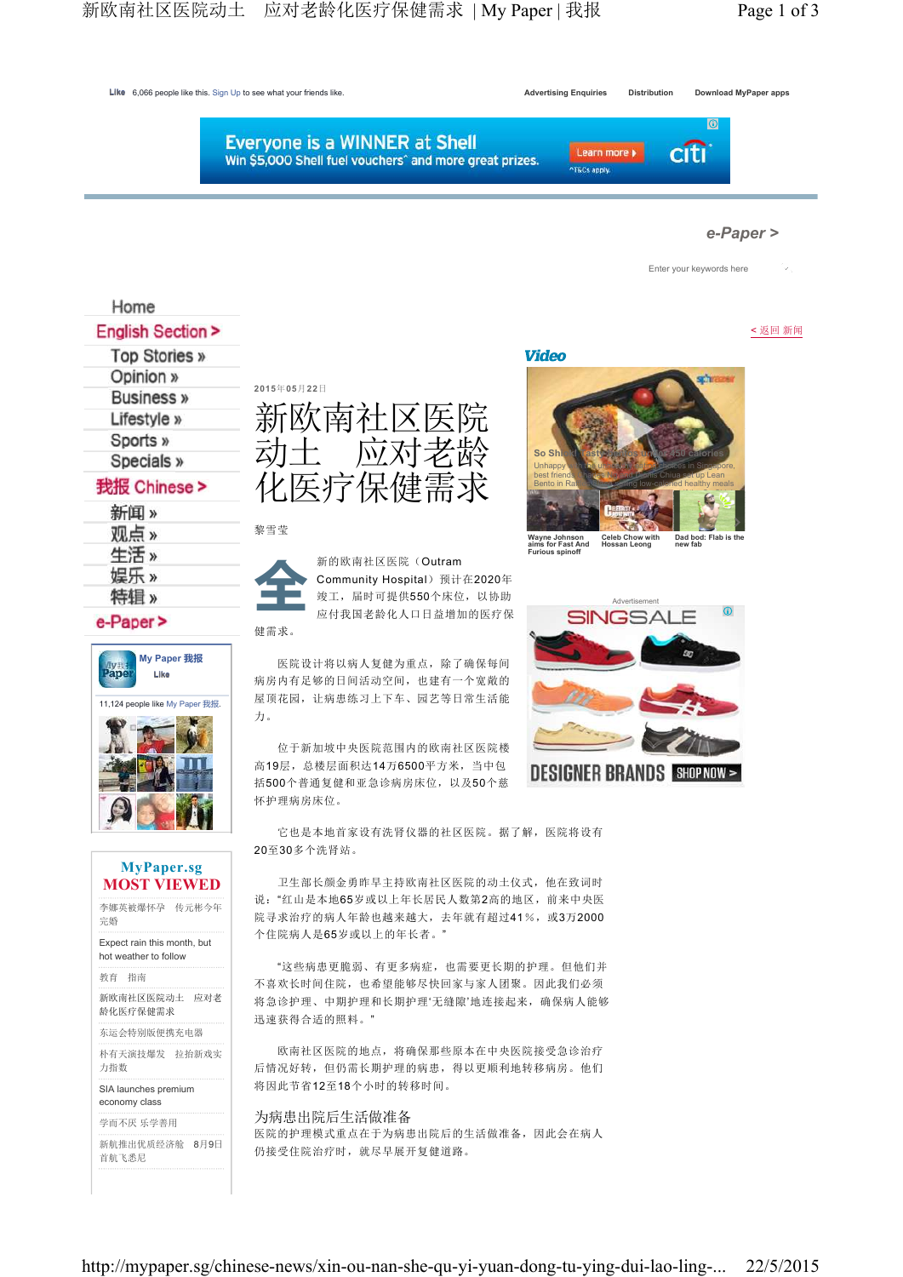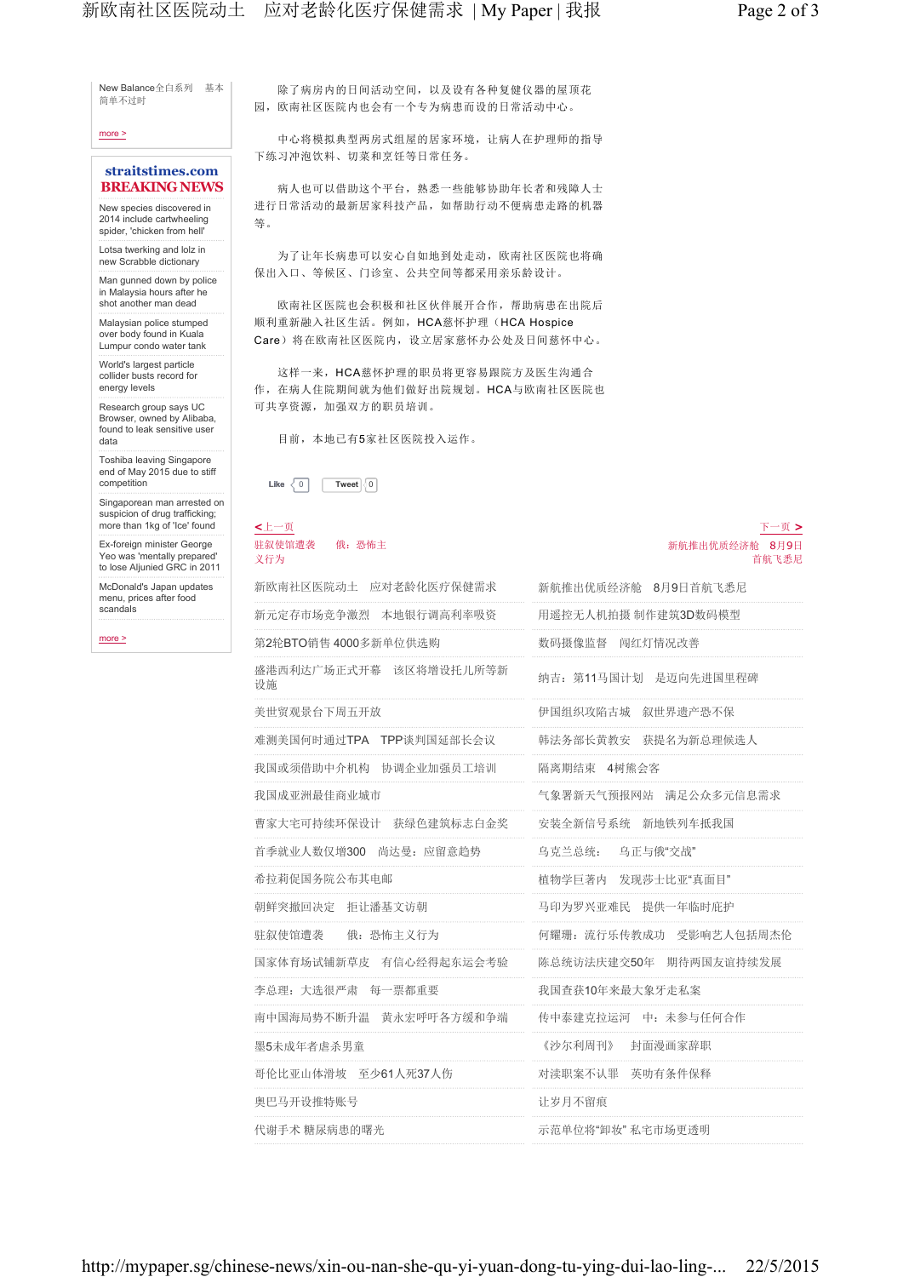### more >

## **straitstimes.com BREAKING NEWS**

New species discovered in 2014 include cartwheeling spider, 'chicken from hell'

Lotsa twerking and lolz in new Scrabble dictionary

Man gunned down by police in Malaysia hours after he shot another man dead

Malaysian police stumped over body found in Kuala Lumpur condo water tank

World's largest particle collider busts record for energy levels

Research group says UC Browser, owned by Alibaba, found to leak sensitive user data

Toshiba leaving Singapore end of May 2015 due to stiff competition

Singaporean man arrested on suspicion of drug trafficking; more than 1kg of 'Ice' found

Ex-foreign minister George Yeo was 'mentally prepared' to lose Aljunied GRC in 2011

McDonald's Japan updates menu, prices after food scandals

more >

 除了病房内的日间活动空间,以及设有各种复健仪器的屋顶花 园,欧南社区医院内也会有一个专为病患而设的日常活动中心。

 中心将模拟典型两房式组屋的居家环境,让病人在护理师的指导 下练习冲泡饮料、切菜和烹饪等日常任务。

病人也可以借助这个平台,熟悉一些能够协助年长者和残障人士 进行日常活动的最新居家科技产品,如帮助行动不便病患走路的机器 等。

 为了让年长病患可以安心自如地到处走动,欧南社区医院也将确 保出入口、等候区、门诊室、公共空间等都采用亲乐龄设计。

 欧南社区医院也会积极和社区伙伴展开合作,帮助病患在出院后 顺利重新融入社区生活。例如,HCA慈怀护理(HCA Hospice Care)将在欧南社区医院内,设立居家慈怀办公处及日间慈怀中心。

 这样一来,HCA慈怀护理的职员将更容易跟院方及医生沟通合 作,在病人住院期间就为他们做好出院规划。HCA与欧南社区医院也 可共享资源,加强双方的职员培训。

目前,本地已有5家社区医院投入运作。

**Like**  $\langle 0 |$  **Tweet**  $\langle 0 |$ 

### **<**上一页 驻叙使馆遭袭 俄:恐怖主 义行为

| 新欧南社区医院动士 应对老龄化医疗保健需求        | 新航推出优质经济舱 8月9日首航飞悉尼     |
|------------------------------|-------------------------|
| 新元定存市场竞争激烈 本地银行调高利率吸资        | 用遥控无人机拍摄 制作建筑3D数码模型     |
| 第2轮BTO销售 4000多新单位供选购         | 数码摄像监督 闯红灯情况改善          |
| 盛港西利达广场正式开幕 该区将增设托儿所等新<br>设施 | 纳吉: 第11马国计划 是迈向先讲国里程碑   |
| 美世贸观景台下周五开放                  | 伊国组织攻陷古城 叙世界遗产恐不保       |
| 难测美国何时通过TPA TPP谈判国延部长会议      | 韩法务部长黄教安 获提名为新总理候选人     |
| 我国或须借助中介机构 协调企业加强员工培训        | 隔离期结束 4树能会客             |
| 我国成亚洲最佳商业城市                  | 气象署新天气预报网站 满足公众多元信息需求   |
| 曹家大宅可持续环保设计 获绿色建筑标志白金奖       | 安装全新信号系统 新地铁列车抵我国       |
| 首季就业人数仅增300 尚达曼: 应留意趋势       | 乌克兰总统: 乌正与俄"交战"         |
| 希拉莉促国务院公布其电邮                 | 植物学巨著内 发现莎士比亚"真面目"      |
| 朝鲜突撤回决定 拒让潘基文访朝              | 马印为罗兴亚难民 提供一年临时庇护       |
| 驻叙使馆遭袭 俄: 恐怖主义行为             | 何耀珊: 流行乐传教成功 受影响艺人包括周杰伦 |
| 国家体育场试铺新草皮 有信心经得起东运会考验       | 陈总统访法庆建交50年 期待两国友谊持续发展  |
| 李总理: 大选很严肃 每一票都重要            | 我国杳获10年来最大象牙走私案         |
| 南中国海局势不断升温 黄永宏呼吁各方缓和争端       | 传中泰建克拉运河 中: 未参与任何合作     |
| 墨5未成年者虐杀男童                   | 封面漫画家辞职<br>《沙尔利周刊》      |
| 哥伦比亚山体滑坡 至少61人死37人伤          | 对渎职案不认罪 英叻有条件保释         |
| 奥巴马开设推特账号                    | 让岁月不留痕                  |
| 代谢手术 糖尿病患的曙光                 | 示范单位将"卸妆" 私宅市场更诱明       |

下一页 **>**

首航飞悉尼

新航推出优质经济舱 8月9日